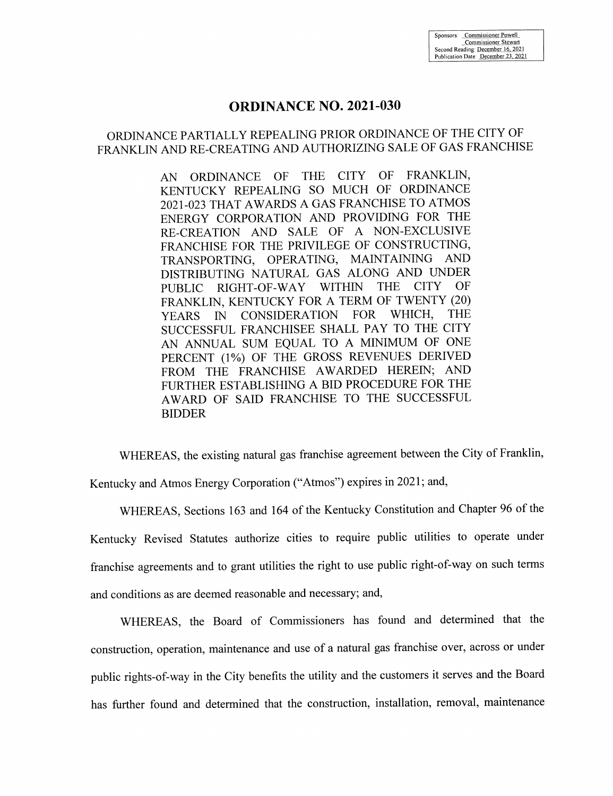## **ORDINANCE NO. 2021-030**

# ORDINANCE PARTIALLY REPEALING PRIOR ORDINANCE OF THE CITY OF FRANKLIN AND RE-CREATING AND AUTHORIZING SALE OF GAS FRANCHISE

ORDINANCE OF THE CITY OF FRANKLIN,  $AN$ KENTUCKY REPEALING SO MUCH OF ORDINANCE 2021-023 THAT AWARDS A GAS FRANCHISE TO ATMOS ENERGY CORPORATION AND PROVIDING FOR THE RE-CREATION AND SALE OF A NON-EXCLUSIVE FRANCHISE FOR THE PRIVILEGE OF CONSTRUCTING, TRANSPORTING, OPERATING, MAINTAINING AND DISTRIBUTING NATURAL GAS ALONG AND UNDER **WITHIN THE CITY** OF RIGHT-OF-WAY **PUBLIC** FRANKLIN, KENTUCKY FOR A TERM OF TWENTY (20) CONSIDERATION FOR WHICH. **THE YEARS**  $\mathbb{N}$ SUCCESSFUL FRANCHISEE SHALL PAY TO THE CITY AN ANNUAL SUM EQUAL TO A MINIMUM OF ONE PERCENT (1%) OF THE GROSS REVENUES DERIVED FROM THE FRANCHISE AWARDED HEREIN; AND FURTHER ESTABLISHING A BID PROCEDURE FOR THE AWARD OF SAID FRANCHISE TO THE SUCCESSFUL **BIDDER** 

WHEREAS, the existing natural gas franchise agreement between the City of Franklin,

Kentucky and Atmos Energy Corporation ("Atmos") expires in 2021; and,

WHEREAS, Sections 163 and 164 of the Kentucky Constitution and Chapter 96 of the Kentucky Revised Statutes authorize cities to require public utilities to operate under franchise agreements and to grant utilities the right to use public right-of-way on such terms and conditions as are deemed reasonable and necessary; and,

WHEREAS, the Board of Commissioners has found and determined that the construction, operation, maintenance and use of a natural gas franchise over, across or under public rights-of-way in the City benefits the utility and the customers it serves and the Board has further found and determined that the construction, installation, removal, maintenance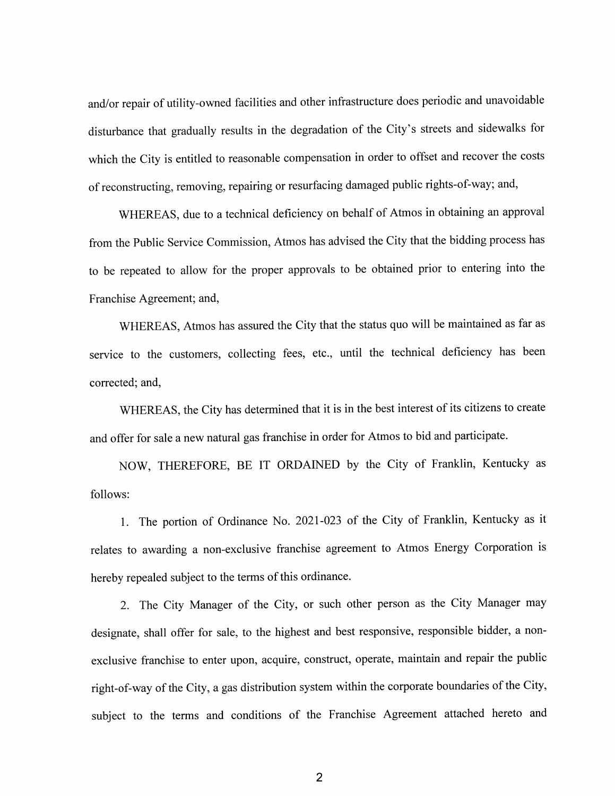and/or repair of utility-owned facilities and other infrastructure does periodic and unavoidable disturbance that gradually results in the degradation of the City's streets and sidewalks for which the City is entitled to reasonable compensation in order to offset and recover the costs of reconstructing, removing, repairing or resurfacing damaged public rights-of-way; and,

WHEREAS, due to a technical deficiency on behalf of Atmos in obtaining an approval from the Public Service Commission, Atmos has advised the City that the bidding process has to be repeated to allow for the proper approvals to be obtained prior to entering into the Franchise Agreement; and,

WHEREAS, Atmos has assured the City that the status quo will be maintained as far as service to the customers, collecting fees, etc., until the technical deficiency has been corrected; and,

WHEREAS, the City has determined that it is in the best interest of its citizens to create and offer for sale a new natural gas franchise in order for Atmos to bid and participate.

NOW, THEREFORE, BE IT ORDAINED by the City of Franklin, Kentucky as follows:

1. The portion of Ordinance No. 2021-023 of the City of Franklin, Kentucky as it relates to awarding a non-exclusive franchise agreement to Atmos Energy Corporation is hereby repealed subject to the terms of this ordinance.

2. The City Manager of the City, or such other person as the City Manager may designate, shall offer for sale, to the highest and best responsive, responsible bidder, a nonexclusive franchise to enter upon, acquire, construct, operate, maintain and repair the public right-of-way of the City, a gas distribution system within the corporate boundaries of the City, subject to the terms and conditions of the Franchise Agreement attached hereto and

 $\overline{2}$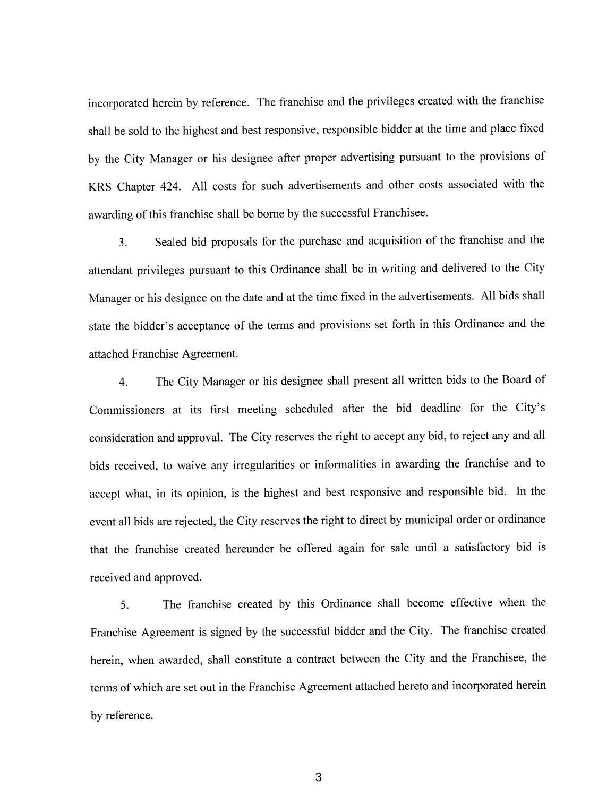incorporated herein by reference. The franchise and the privileges created with the franchise shall be sold to the highest and best responsive, responsible bidder at the time and place fixed by the City Manager or his designee after proper advertising pursuant to the provisions of KRS Chapter 424. All costs for such advertisements and other costs associated with the awarding of this franchise shall be borne by the successful Franchise.

Sealed bid proposals for the purchase and acquisition of the franchise and the  $\overline{3}$ . attendant privileges pursuant to this Ordinance shall be in writing and delivered to the City Manager or his designee on the date and at the time fixed in the advertisements. All bids shall state the bidder's acceptance of the terms and provisions set forth in this Ordinance and the attached Franchise Agreement.

The City Manager or his designee shall present all written bids to the Board of  $\overline{4}$ . Commissioners at its first meeting scheduled after the bid deadline for the City's consideration and approval. The City reserves the right to accept any bid, to reject any and all bids received, to waive any irregularities or informalities in awarding the franchise and to accept what, in its opinion, is the highest and best responsive and responsible bid. In the event all bids are rejected, the City reserves the right to direct by municipal order or ordinance that the franchise created hereunder be offered again for sale until a satisfactory bid is received and approved.

The franchise created by this Ordinance shall become effective when the 5. Franchise Agreement is signed by the successful bidder and the City. The franchise created herein, when awarded, shall constitute a contract between the City and the Franchisee, the terms of which are set out in the Franchise Agreement attached hereto and incorporated herein by reference.

3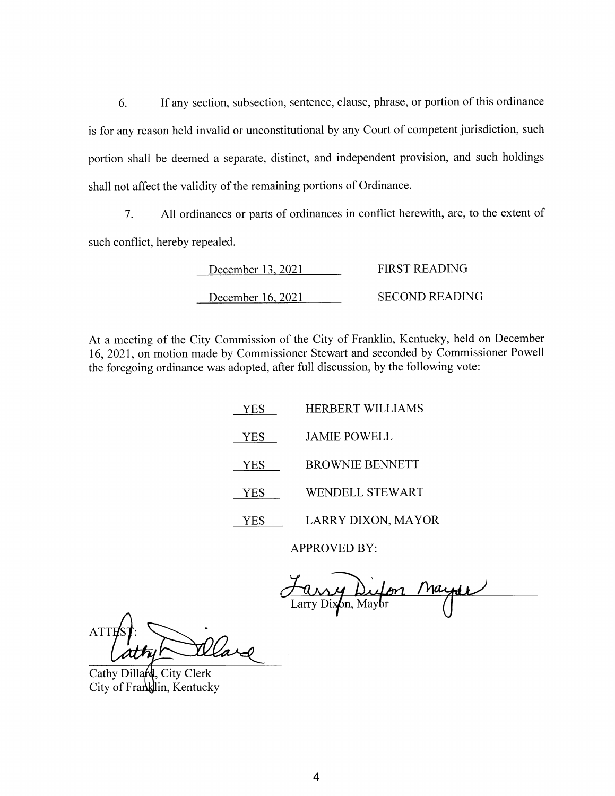6. If any section, subsection, sentence, clause, phrase, or portion of this ordinance is for any reason held invalid or unconstitutional by any Court of competent jurisdiction, such portion shall be deemed a separate, distinct, and independent provision, and such holdings shall not affect the validity of the remaining portions of Ordinance.

All ordinances or parts of ordinances in conflict herewith, are, to the extent of  $7.$ such conflict, hereby repealed.

| December 13, 2021 | FIRST READING  |
|-------------------|----------------|
| December 16, 2021 | SECOND READING |

At a meeting of the City Commission of the City of Franklin, Kentucky, held on December 16, 2021, on motion made by Commissioner Stewart and seconded by Commissioner Powell the foregoing ordinance was adopted, after full discussion, by the following vote:

> HERBERT WILLIAMS YES YES **JAMIE POWELL BROWNIE BENNETT YES** WENDELL STEWART YES LARRY DIXON, MAYOR **YES**

> > **APPROVED BY:**

ny Difon Mayor

**ATTE** 

Cathy Dillard, City Clerk City of Franklin, Kentucky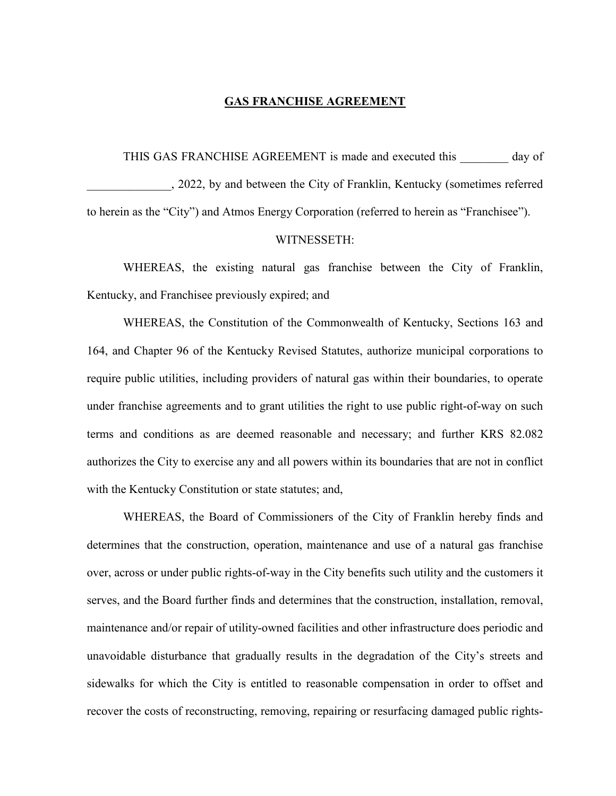#### **GAS FRANCHISE AGREEMENT**

#### THIS GAS FRANCHISE AGREEMENT is made and executed this day of

\_\_\_\_\_\_\_\_\_\_\_\_\_\_, 2022, by and between the City of Franklin, Kentucky (sometimes referred to herein as the "City") and Atmos Energy Corporation (referred to herein as "Franchisee").

#### WITNESSETH:

WHEREAS, the existing natural gas franchise between the City of Franklin, Kentucky, and Franchisee previously expired; and

WHEREAS, the Constitution of the Commonwealth of Kentucky, Sections 163 and 164, and Chapter 96 of the Kentucky Revised Statutes, authorize municipal corporations to require public utilities, including providers of natural gas within their boundaries, to operate under franchise agreements and to grant utilities the right to use public right-of-way on such terms and conditions as are deemed reasonable and necessary; and further KRS 82.082 authorizes the City to exercise any and all powers within its boundaries that are not in conflict with the Kentucky Constitution or state statutes; and,

WHEREAS, the Board of Commissioners of the City of Franklin hereby finds and determines that the construction, operation, maintenance and use of a natural gas franchise over, across or under public rights-of-way in the City benefits such utility and the customers it serves, and the Board further finds and determines that the construction, installation, removal, maintenance and/or repair of utility-owned facilities and other infrastructure does periodic and unavoidable disturbance that gradually results in the degradation of the City's streets and sidewalks for which the City is entitled to reasonable compensation in order to offset and recover the costs of reconstructing, removing, repairing or resurfacing damaged public rights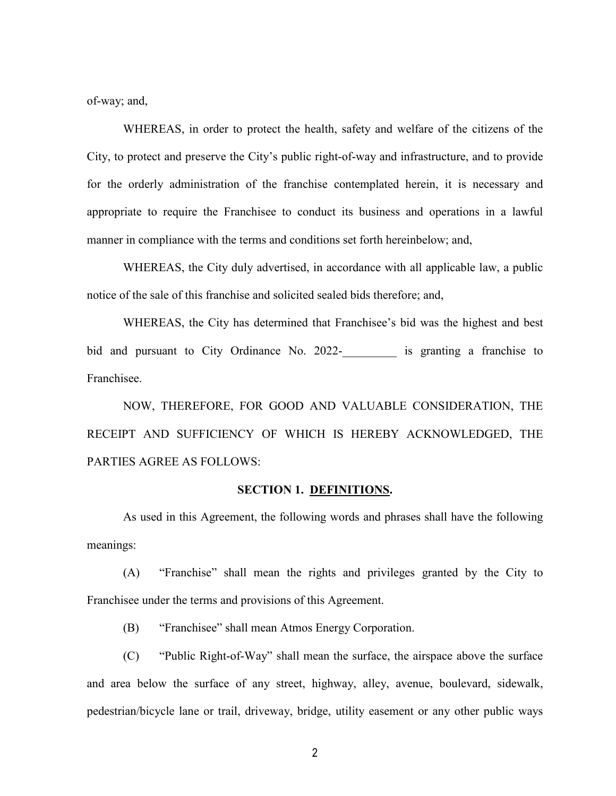of-way; and,

WHEREAS, in order to protect the health, safety and welfare of the citizens of the City, to protect and preserve the City's public right-of-way and infrastructure, and to provide for the orderly administration of the franchise contemplated herein, it is necessary and appropriate to require the Franchisee to conduct its business and operations in a lawful manner in compliance with the terms and conditions set forth hereinbelow; and,

WHEREAS, the City duly advertised, in accordance with all applicable law, a public notice of the sale of this franchise and solicited sealed bids therefore; and,

WHEREAS, the City has determined that Franchisee's bid was the highest and best bid and pursuant to City Ordinance No. 2022- is granting a franchise to Franchisee.

NOW, THEREFORE, FOR GOOD AND VALUABLE CONSIDERATION, THE RECEIPT AND SUFFICIENCY OF WHICH IS HEREBY ACKNOWLEDGED, THE PARTIES AGREE AS FOLLOWS:

#### **SECTION 1. DEFINITIONS.**

As used in this Agreement, the following words and phrases shall have the following meanings:

(A) "Franchise" shall mean the rights and privileges granted by the City to Franchisee under the terms and provisions of this Agreement.

(B) "Franchisee" shall mean Atmos Energy Corporation.

(C) "Public Right-of-Way" shall mean the surface, the airspace above the surface and area below the surface of any street, highway, alley, avenue, boulevard, sidewalk, pedestrian/bicycle lane or trail, driveway, bridge, utility easement or any other public ways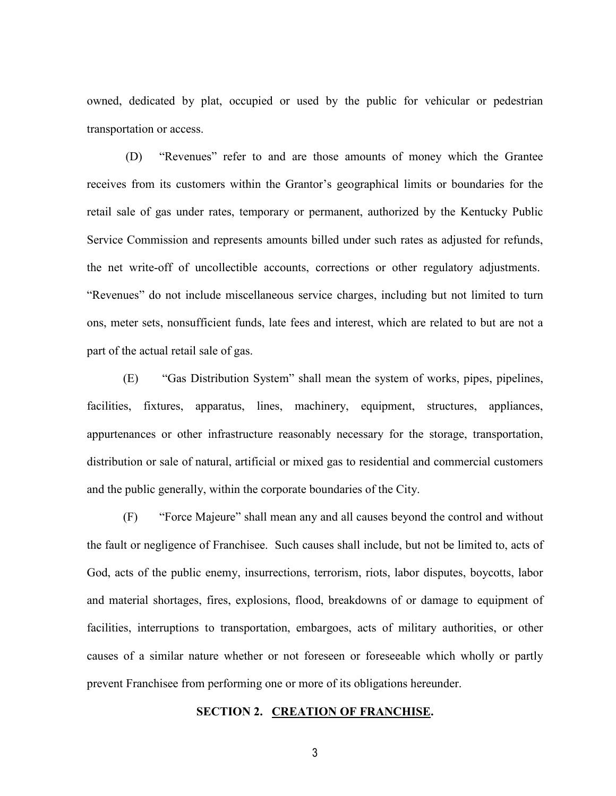owned, dedicated by plat, occupied or used by the public for vehicular or pedestrian transportation or access.

(D) "Revenues" refer to and are those amounts of money which the Grantee receives from its customers within the Grantor's geographical limits or boundaries for the retail sale of gas under rates, temporary or permanent, authorized by the Kentucky Public Service Commission and represents amounts billed under such rates as adjusted for refunds, the net write-off of uncollectible accounts, corrections or other regulatory adjustments. "Revenues" do not include miscellaneous service charges, including but not limited to turn ons, meter sets, nonsufficient funds, late fees and interest, which are related to but are not a part of the actual retail sale of gas.

(E) "Gas Distribution System" shall mean the system of works, pipes, pipelines, facilities, fixtures, apparatus, lines, machinery, equipment, structures, appliances, appurtenances or other infrastructure reasonably necessary for the storage, transportation, distribution or sale of natural, artificial or mixed gas to residential and commercial customers and the public generally, within the corporate boundaries of the City.

(F) "Force Majeure" shall mean any and all causes beyond the control and without the fault or negligence of Franchisee. Such causes shall include, but not be limited to, acts of God, acts of the public enemy, insurrections, terrorism, riots, labor disputes, boycotts, labor and material shortages, fires, explosions, flood, breakdowns of or damage to equipment of facilities, interruptions to transportation, embargoes, acts of military authorities, or other causes of a similar nature whether or not foreseen or foreseeable which wholly or partly prevent Franchisee from performing one or more of its obligations hereunder.

#### **SECTION 2. CREATION OF FRANCHISE.**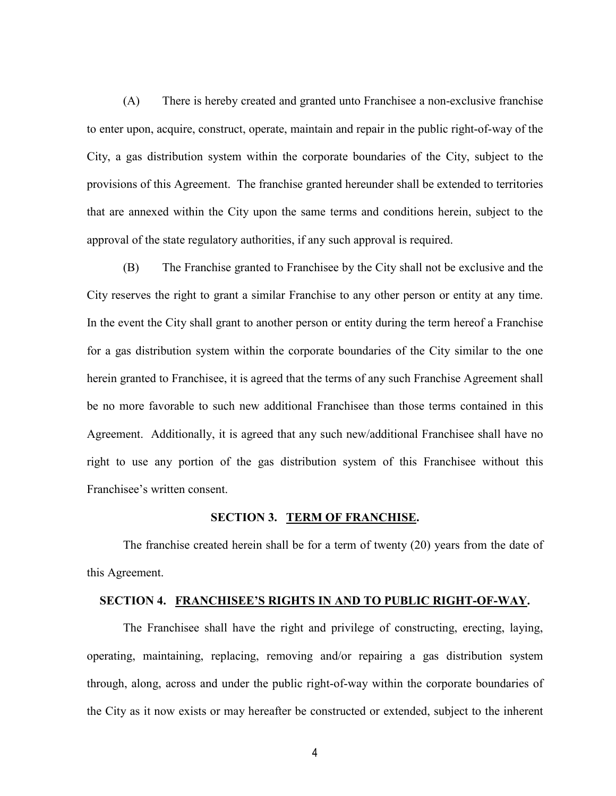(A) There is hereby created and granted unto Franchisee a non-exclusive franchise to enter upon, acquire, construct, operate, maintain and repair in the public right-of-way of the City, a gas distribution system within the corporate boundaries of the City, subject to the provisions of this Agreement. The franchise granted hereunder shall be extended to territories that are annexed within the City upon the same terms and conditions herein, subject to the approval of the state regulatory authorities, if any such approval is required.

(B) The Franchise granted to Franchisee by the City shall not be exclusive and the City reserves the right to grant a similar Franchise to any other person or entity at any time. In the event the City shall grant to another person or entity during the term hereof a Franchise for a gas distribution system within the corporate boundaries of the City similar to the one herein granted to Franchisee, it is agreed that the terms of any such Franchise Agreement shall be no more favorable to such new additional Franchisee than those terms contained in this Agreement. Additionally, it is agreed that any such new/additional Franchisee shall have no right to use any portion of the gas distribution system of this Franchisee without this Franchisee's written consent.

#### **SECTION 3. TERM OF FRANCHISE.**

The franchise created herein shall be for a term of twenty (20) years from the date of this Agreement.

#### **SECTION 4. FRANCHISEE'S RIGHTS IN AND TO PUBLIC RIGHT-OF-WAY.**

The Franchisee shall have the right and privilege of constructing, erecting, laying, operating, maintaining, replacing, removing and/or repairing a gas distribution system through, along, across and under the public right-of-way within the corporate boundaries of the City as it now exists or may hereafter be constructed or extended, subject to the inherent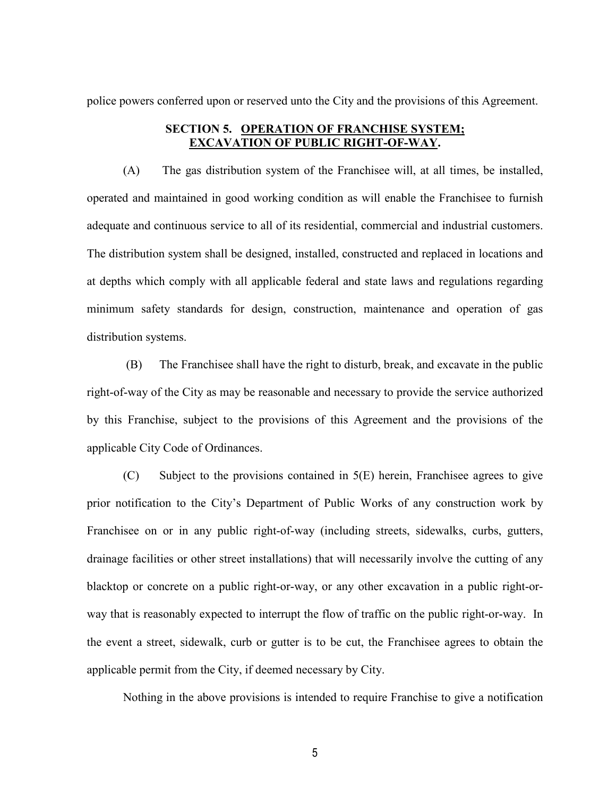police powers conferred upon or reserved unto the City and the provisions of this Agreement.

### **SECTION 5. OPERATION OF FRANCHISE SYSTEM; EXCAVATION OF PUBLIC RIGHT-OF-WAY.**

(A) The gas distribution system of the Franchisee will, at all times, be installed, operated and maintained in good working condition as will enable the Franchisee to furnish adequate and continuous service to all of its residential, commercial and industrial customers. The distribution system shall be designed, installed, constructed and replaced in locations and at depths which comply with all applicable federal and state laws and regulations regarding minimum safety standards for design, construction, maintenance and operation of gas distribution systems.

(B) The Franchisee shall have the right to disturb, break, and excavate in the public right-of-way of the City as may be reasonable and necessary to provide the service authorized by this Franchise, subject to the provisions of this Agreement and the provisions of the applicable City Code of Ordinances.

 $(C)$  Subject to the provisions contained in  $5(E)$  herein, Franchisee agrees to give prior notification to the City's Department of Public Works of any construction work by Franchisee on or in any public right-of-way (including streets, sidewalks, curbs, gutters, drainage facilities or other street installations) that will necessarily involve the cutting of any blacktop or concrete on a public right-or-way, or any other excavation in a public right-orway that is reasonably expected to interrupt the flow of traffic on the public right-or-way. In the event a street, sidewalk, curb or gutter is to be cut, the Franchisee agrees to obtain the applicable permit from the City, if deemed necessary by City.

Nothing in the above provisions is intended to require Franchise to give a notification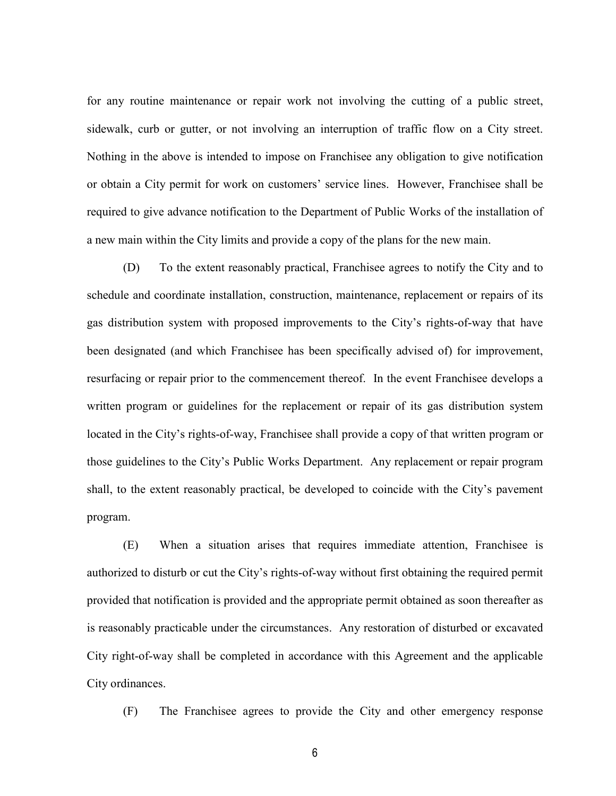for any routine maintenance or repair work not involving the cutting of a public street, sidewalk, curb or gutter, or not involving an interruption of traffic flow on a City street. Nothing in the above is intended to impose on Franchisee any obligation to give notification or obtain a City permit for work on customers' service lines. However, Franchisee shall be required to give advance notification to the Department of Public Works of the installation of a new main within the City limits and provide a copy of the plans for the new main.

(D) To the extent reasonably practical, Franchisee agrees to notify the City and to schedule and coordinate installation, construction, maintenance, replacement or repairs of its gas distribution system with proposed improvements to the City's rights-of-way that have been designated (and which Franchisee has been specifically advised of) for improvement, resurfacing or repair prior to the commencement thereof. In the event Franchisee develops a written program or guidelines for the replacement or repair of its gas distribution system located in the City's rights-of-way, Franchisee shall provide a copy of that written program or those guidelines to the City's Public Works Department. Any replacement or repair program shall, to the extent reasonably practical, be developed to coincide with the City's pavement program.

(E) When a situation arises that requires immediate attention, Franchisee is authorized to disturb or cut the City's rights-of-way without first obtaining the required permit provided that notification is provided and the appropriate permit obtained as soon thereafter as is reasonably practicable under the circumstances. Any restoration of disturbed or excavated City right-of-way shall be completed in accordance with this Agreement and the applicable City ordinances.

(F) The Franchisee agrees to provide the City and other emergency response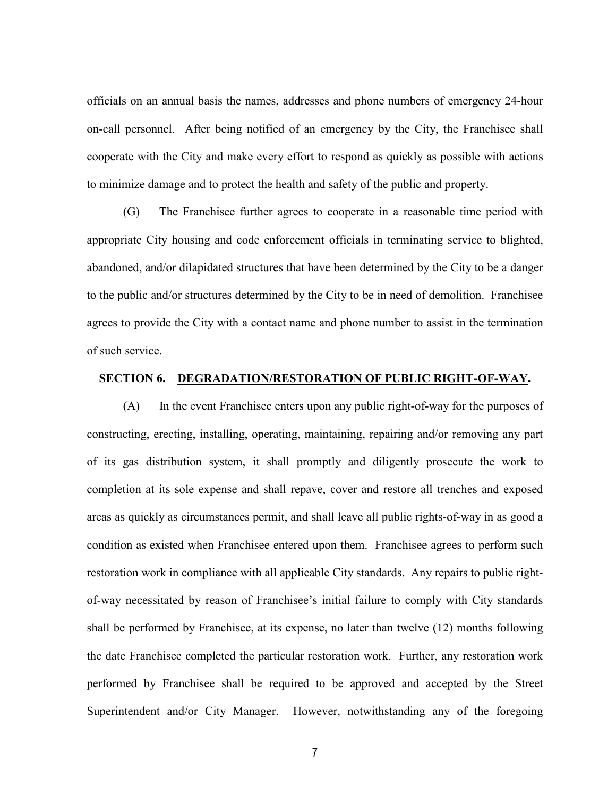officials on an annual basis the names, addresses and phone numbers of emergency 24-hour on-call personnel. After being notified of an emergency by the City, the Franchisee shall cooperate with the City and make every effort to respond as quickly as possible with actions to minimize damage and to protect the health and safety of the public and property.

(G) The Franchisee further agrees to cooperate in a reasonable time period with appropriate City housing and code enforcement officials in terminating service to blighted, abandoned, and/or dilapidated structures that have been determined by the City to be a danger to the public and/or structures determined by the City to be in need of demolition. Franchisee agrees to provide the City with a contact name and phone number to assist in the termination of such service.

### **SECTION 6. DEGRADATION/RESTORATION OF PUBLIC RIGHT-OF-WAY.**

(A) In the event Franchisee enters upon any public right-of-way for the purposes of constructing, erecting, installing, operating, maintaining, repairing and/or removing any part of its gas distribution system, it shall promptly and diligently prosecute the work to completion at its sole expense and shall repave, cover and restore all trenches and exposed areas as quickly as circumstances permit, and shall leave all public rights-of-way in as good a condition as existed when Franchisee entered upon them. Franchisee agrees to perform such restoration work in compliance with all applicable City standards. Any repairs to public rightof-way necessitated by reason of Franchisee's initial failure to comply with City standards shall be performed by Franchisee, at its expense, no later than twelve (12) months following the date Franchisee completed the particular restoration work. Further, any restoration work performed by Franchisee shall be required to be approved and accepted by the Street Superintendent and/or City Manager. However, notwithstanding any of the foregoing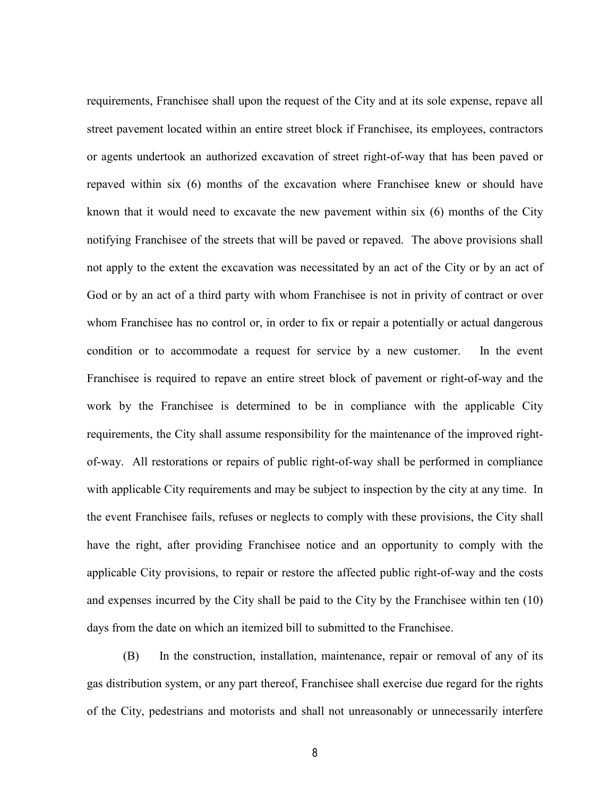requirements, Franchisee shall upon the request of the City and at its sole expense, repave all street pavement located within an entire street block if Franchisee, its employees, contractors or agents undertook an authorized excavation of street right-of-way that has been paved or repaved within six (6) months of the excavation where Franchisee knew or should have known that it would need to excavate the new pavement within six (6) months of the City notifying Franchisee of the streets that will be paved or repaved. The above provisions shall not apply to the extent the excavation was necessitated by an act of the City or by an act of God or by an act of a third party with whom Franchisee is not in privity of contract or over whom Franchisee has no control or, in order to fix or repair a potentially or actual dangerous condition or to accommodate a request for service by a new customer. In the event Franchisee is required to repave an entire street block of pavement or right-of-way and the work by the Franchisee is determined to be in compliance with the applicable City requirements, the City shall assume responsibility for the maintenance of the improved rightof-way. All restorations or repairs of public right-of-way shall be performed in compliance with applicable City requirements and may be subject to inspection by the city at any time. In the event Franchisee fails, refuses or neglects to comply with these provisions, the City shall have the right, after providing Franchisee notice and an opportunity to comply with the applicable City provisions, to repair or restore the affected public right-of-way and the costs and expenses incurred by the City shall be paid to the City by the Franchisee within ten (10) days from the date on which an itemized bill to submitted to the Franchisee.

(B) In the construction, installation, maintenance, repair or removal of any of its gas distribution system, or any part thereof, Franchisee shall exercise due regard for the rights of the City, pedestrians and motorists and shall not unreasonably or unnecessarily interfere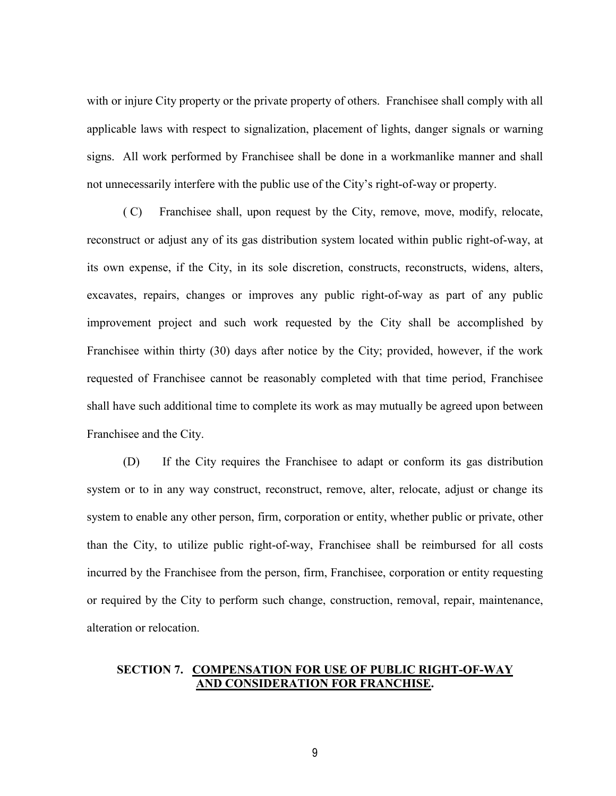with or injure City property or the private property of others. Franchisee shall comply with all applicable laws with respect to signalization, placement of lights, danger signals or warning signs. All work performed by Franchisee shall be done in a workmanlike manner and shall not unnecessarily interfere with the public use of the City's right-of-way or property.

( C) Franchisee shall, upon request by the City, remove, move, modify, relocate, reconstruct or adjust any of its gas distribution system located within public right-of-way, at its own expense, if the City, in its sole discretion, constructs, reconstructs, widens, alters, excavates, repairs, changes or improves any public right-of-way as part of any public improvement project and such work requested by the City shall be accomplished by Franchisee within thirty (30) days after notice by the City; provided, however, if the work requested of Franchisee cannot be reasonably completed with that time period, Franchisee shall have such additional time to complete its work as may mutually be agreed upon between Franchisee and the City.

(D) If the City requires the Franchisee to adapt or conform its gas distribution system or to in any way construct, reconstruct, remove, alter, relocate, adjust or change its system to enable any other person, firm, corporation or entity, whether public or private, other than the City, to utilize public right-of-way, Franchisee shall be reimbursed for all costs incurred by the Franchisee from the person, firm, Franchisee, corporation or entity requesting or required by the City to perform such change, construction, removal, repair, maintenance, alteration or relocation.

## **SECTION 7. COMPENSATION FOR USE OF PUBLIC RIGHT-OF-WAY AND CONSIDERATION FOR FRANCHISE.**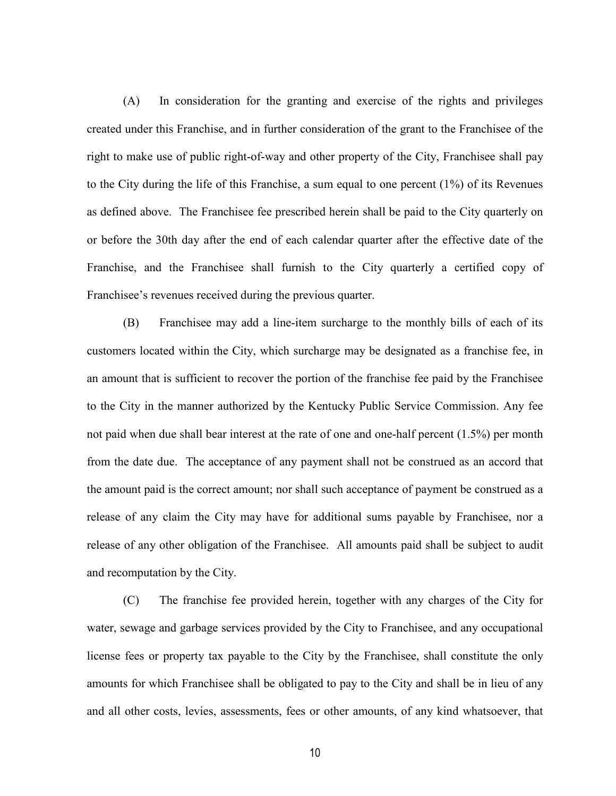(A) In consideration for the granting and exercise of the rights and privileges created under this Franchise, and in further consideration of the grant to the Franchisee of the right to make use of public right-of-way and other property of the City, Franchisee shall pay to the City during the life of this Franchise, a sum equal to one percent (1%) of its Revenues as defined above. The Franchisee fee prescribed herein shall be paid to the City quarterly on or before the 30th day after the end of each calendar quarter after the effective date of the Franchise, and the Franchisee shall furnish to the City quarterly a certified copy of Franchisee's revenues received during the previous quarter.

(B) Franchisee may add a line-item surcharge to the monthly bills of each of its customers located within the City, which surcharge may be designated as a franchise fee, in an amount that is sufficient to recover the portion of the franchise fee paid by the Franchisee to the City in the manner authorized by the Kentucky Public Service Commission. Any fee not paid when due shall bear interest at the rate of one and one-half percent (1.5%) per month from the date due. The acceptance of any payment shall not be construed as an accord that the amount paid is the correct amount; nor shall such acceptance of payment be construed as a release of any claim the City may have for additional sums payable by Franchisee, nor a release of any other obligation of the Franchisee. All amounts paid shall be subject to audit and recomputation by the City.

(C) The franchise fee provided herein, together with any charges of the City for water, sewage and garbage services provided by the City to Franchisee, and any occupational license fees or property tax payable to the City by the Franchisee, shall constitute the only amounts for which Franchisee shall be obligated to pay to the City and shall be in lieu of any and all other costs, levies, assessments, fees or other amounts, of any kind whatsoever, that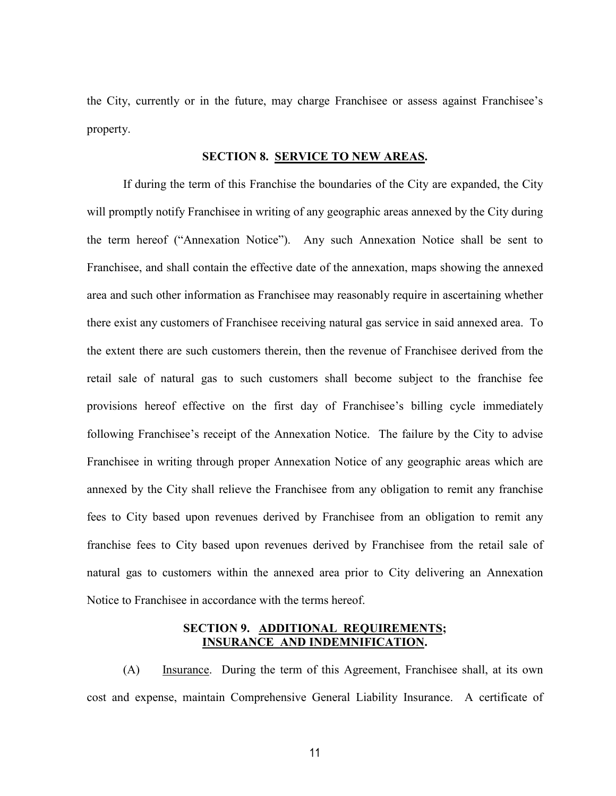the City, currently or in the future, may charge Franchisee or assess against Franchisee's property.

#### **SECTION 8. SERVICE TO NEW AREAS.**

If during the term of this Franchise the boundaries of the City are expanded, the City will promptly notify Franchisee in writing of any geographic areas annexed by the City during the term hereof ("Annexation Notice"). Any such Annexation Notice shall be sent to Franchisee, and shall contain the effective date of the annexation, maps showing the annexed area and such other information as Franchisee may reasonably require in ascertaining whether there exist any customers of Franchisee receiving natural gas service in said annexed area. To the extent there are such customers therein, then the revenue of Franchisee derived from the retail sale of natural gas to such customers shall become subject to the franchise fee provisions hereof effective on the first day of Franchisee's billing cycle immediately following Franchisee's receipt of the Annexation Notice. The failure by the City to advise Franchisee in writing through proper Annexation Notice of any geographic areas which are annexed by the City shall relieve the Franchisee from any obligation to remit any franchise fees to City based upon revenues derived by Franchisee from an obligation to remit any franchise fees to City based upon revenues derived by Franchisee from the retail sale of natural gas to customers within the annexed area prior to City delivering an Annexation Notice to Franchisee in accordance with the terms hereof.

#### **SECTION 9. ADDITIONAL REQUIREMENTS; INSURANCE AND INDEMNIFICATION.**

(A) Insurance. During the term of this Agreement, Franchisee shall, at its own cost and expense, maintain Comprehensive General Liability Insurance. A certificate of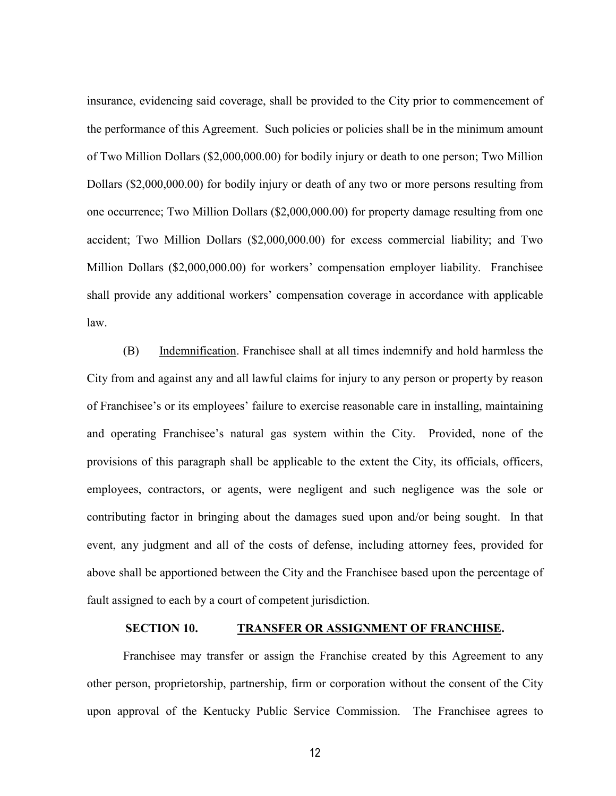insurance, evidencing said coverage, shall be provided to the City prior to commencement of the performance of this Agreement. Such policies or policies shall be in the minimum amount of Two Million Dollars (\$2,000,000.00) for bodily injury or death to one person; Two Million Dollars (\$2,000,000.00) for bodily injury or death of any two or more persons resulting from one occurrence; Two Million Dollars (\$2,000,000.00) for property damage resulting from one accident; Two Million Dollars (\$2,000,000.00) for excess commercial liability; and Two Million Dollars (\$2,000,000.00) for workers' compensation employer liability. Franchisee shall provide any additional workers' compensation coverage in accordance with applicable law.

(B) Indemnification. Franchisee shall at all times indemnify and hold harmless the City from and against any and all lawful claims for injury to any person or property by reason of Franchisee's or its employees' failure to exercise reasonable care in installing, maintaining and operating Franchisee's natural gas system within the City. Provided, none of the provisions of this paragraph shall be applicable to the extent the City, its officials, officers, employees, contractors, or agents, were negligent and such negligence was the sole or contributing factor in bringing about the damages sued upon and/or being sought. In that event, any judgment and all of the costs of defense, including attorney fees, provided for above shall be apportioned between the City and the Franchisee based upon the percentage of fault assigned to each by a court of competent jurisdiction.

#### **SECTION 10. TRANSFER OR ASSIGNMENT OF FRANCHISE.**

Franchisee may transfer or assign the Franchise created by this Agreement to any other person, proprietorship, partnership, firm or corporation without the consent of the City upon approval of the Kentucky Public Service Commission. The Franchisee agrees to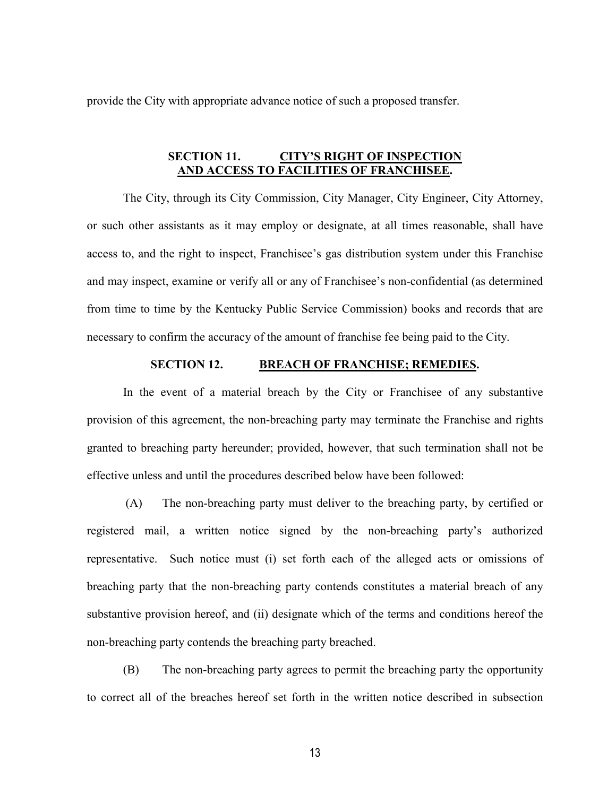provide the City with appropriate advance notice of such a proposed transfer.

### **SECTION 11. CITY'S RIGHT OF INSPECTION AND ACCESS TO FACILITIES OF FRANCHISEE.**

The City, through its City Commission, City Manager, City Engineer, City Attorney, or such other assistants as it may employ or designate, at all times reasonable, shall have access to, and the right to inspect, Franchisee's gas distribution system under this Franchise and may inspect, examine or verify all or any of Franchisee's non-confidential (as determined from time to time by the Kentucky Public Service Commission) books and records that are necessary to confirm the accuracy of the amount of franchise fee being paid to the City.

### **SECTION 12. BREACH OF FRANCHISE; REMEDIES.**

In the event of a material breach by the City or Franchisee of any substantive provision of this agreement, the non-breaching party may terminate the Franchise and rights granted to breaching party hereunder; provided, however, that such termination shall not be effective unless and until the procedures described below have been followed:

(A) The non-breaching party must deliver to the breaching party, by certified or registered mail, a written notice signed by the non-breaching party's authorized representative. Such notice must (i) set forth each of the alleged acts or omissions of breaching party that the non-breaching party contends constitutes a material breach of any substantive provision hereof, and (ii) designate which of the terms and conditions hereof the non-breaching party contends the breaching party breached.

(B) The non-breaching party agrees to permit the breaching party the opportunity to correct all of the breaches hereof set forth in the written notice described in subsection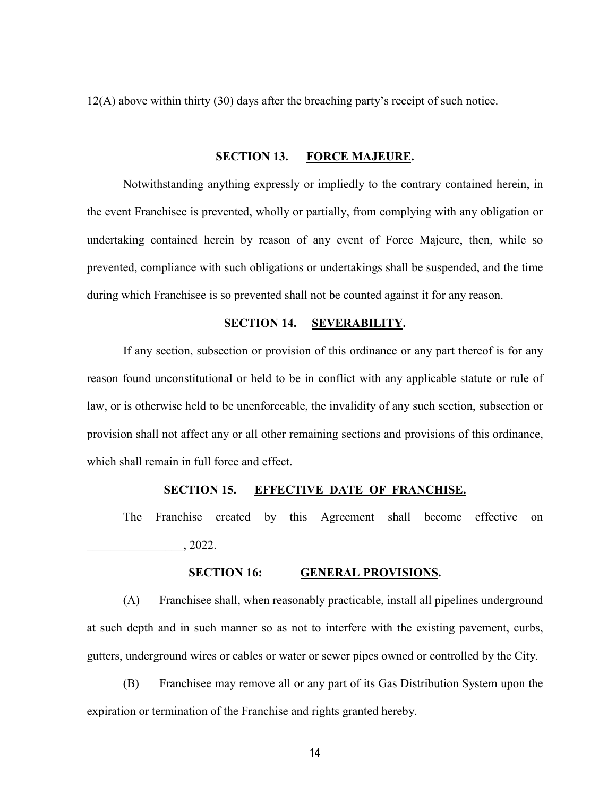12(A) above within thirty (30) days after the breaching party's receipt of such notice.

#### **SECTION 13. FORCE MAJEURE.**

Notwithstanding anything expressly or impliedly to the contrary contained herein, in the event Franchisee is prevented, wholly or partially, from complying with any obligation or undertaking contained herein by reason of any event of Force Majeure, then, while so prevented, compliance with such obligations or undertakings shall be suspended, and the time during which Franchisee is so prevented shall not be counted against it for any reason.

#### **SECTION 14. SEVERABILITY.**

If any section, subsection or provision of this ordinance or any part thereof is for any reason found unconstitutional or held to be in conflict with any applicable statute or rule of law, or is otherwise held to be unenforceable, the invalidity of any such section, subsection or provision shall not affect any or all other remaining sections and provisions of this ordinance, which shall remain in full force and effect.

#### **SECTION 15. EFFECTIVE DATE OF FRANCHISE.**

The Franchise created by this Agreement shall become effective on \_\_\_\_\_\_\_\_\_\_\_\_\_\_\_\_, 2022.

#### **SECTION 16: GENERAL PROVISIONS.**

(A) Franchisee shall, when reasonably practicable, install all pipelines underground at such depth and in such manner so as not to interfere with the existing pavement, curbs, gutters, underground wires or cables or water or sewer pipes owned or controlled by the City.

(B) Franchisee may remove all or any part of its Gas Distribution System upon the expiration or termination of the Franchise and rights granted hereby.

14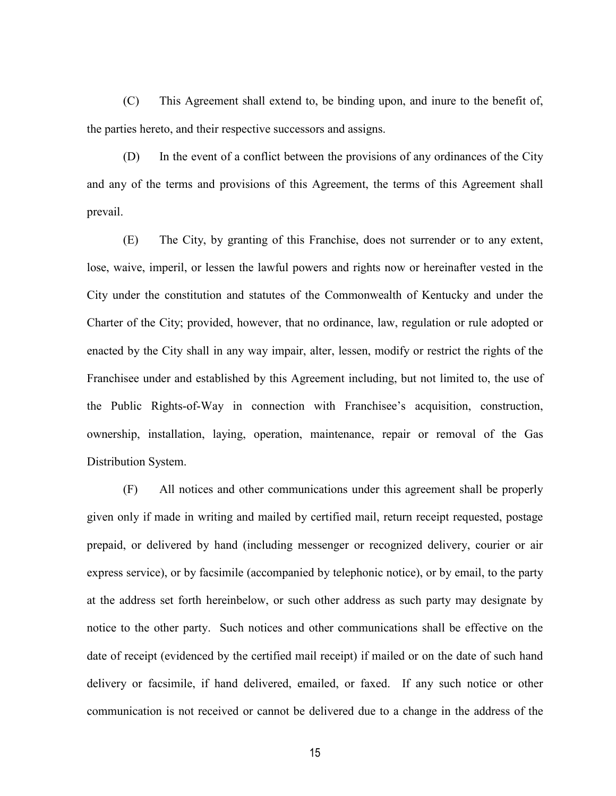(C) This Agreement shall extend to, be binding upon, and inure to the benefit of, the parties hereto, and their respective successors and assigns.

(D) In the event of a conflict between the provisions of any ordinances of the City and any of the terms and provisions of this Agreement, the terms of this Agreement shall prevail.

(E) The City, by granting of this Franchise, does not surrender or to any extent, lose, waive, imperil, or lessen the lawful powers and rights now or hereinafter vested in the City under the constitution and statutes of the Commonwealth of Kentucky and under the Charter of the City; provided, however, that no ordinance, law, regulation or rule adopted or enacted by the City shall in any way impair, alter, lessen, modify or restrict the rights of the Franchisee under and established by this Agreement including, but not limited to, the use of the Public Rights-of-Way in connection with Franchisee's acquisition, construction, ownership, installation, laying, operation, maintenance, repair or removal of the Gas Distribution System.

(F) All notices and other communications under this agreement shall be properly given only if made in writing and mailed by certified mail, return receipt requested, postage prepaid, or delivered by hand (including messenger or recognized delivery, courier or air express service), or by facsimile (accompanied by telephonic notice), or by email, to the party at the address set forth hereinbelow, or such other address as such party may designate by notice to the other party. Such notices and other communications shall be effective on the date of receipt (evidenced by the certified mail receipt) if mailed or on the date of such hand delivery or facsimile, if hand delivered, emailed, or faxed. If any such notice or other communication is not received or cannot be delivered due to a change in the address of the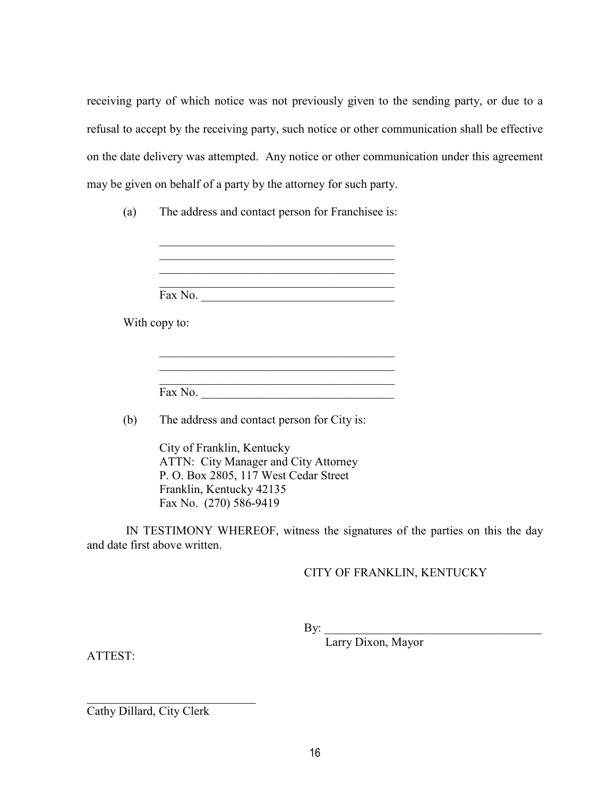receiving party of which notice was not previously given to the sending party, or due to a refusal to accept by the receiving party, such notice or other communication shall be effective on the date delivery was attempted. Any notice or other communication under this agreement may be given on behalf of a party by the attorney for such party.

(a) The address and contact person for Franchisee is:

\_\_\_\_\_\_\_\_\_\_\_\_\_\_\_\_\_\_\_\_\_\_\_\_\_\_\_\_\_\_\_\_\_\_\_\_\_\_\_

Fax No.

With copy to:

\_\_\_\_\_\_\_\_\_\_\_\_\_\_\_\_\_\_\_\_\_\_\_\_\_\_\_\_\_\_\_\_\_\_\_\_\_\_\_ Fax No. \_\_\_\_\_\_\_\_\_\_\_\_\_\_\_\_\_\_\_\_\_\_\_\_\_\_\_\_\_\_\_\_

\_\_\_\_\_\_\_\_\_\_\_\_\_\_\_\_\_\_\_\_\_\_\_\_\_\_\_\_\_\_\_\_\_\_\_\_\_\_\_

(b) The address and contact person for City is:

City of Franklin, Kentucky ATTN: City Manager and City Attorney P. O. Box 2805, 117 West Cedar Street Franklin, Kentucky 42135 Fax No. (270) 586-9419

IN TESTIMONY WHEREOF, witness the signatures of the parties on this the day and date first above written.

CITY OF FRANKLIN, KENTUCKY

By: \_\_\_\_\_\_\_\_\_\_\_\_\_\_\_\_\_\_\_\_\_\_\_\_\_\_\_\_\_\_\_\_\_\_\_\_

Larry Dixon, Mayor

ATTEST:

Cathy Dillard, City Clerk

\_\_\_\_\_\_\_\_\_\_\_\_\_\_\_\_\_\_\_\_\_\_\_\_\_\_\_\_